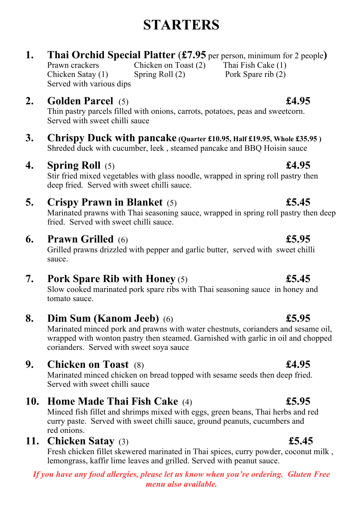# **STARTERS**

## **1. Thai Orchid Special Platter** (**£7.95** per person, minimum for 2 people**)**

Prawn crackers Chicken on Toast (2) Thai Fish Cake (1) Chicken Satay (1) Spring Roll (2) Pork Spare rib (2) Served with various dips

## **2. Golden Parcel** (5) **£4.95**

Thin pastry parcels filled with onions, carrots, potatoes, peas and sweetcorn. Served with sweet chilli sauce

**3. Chrispy Duck with pancake (Quarter £10.95, Half £19.95, Whole £35.95 )** Shreded duck with cucumber, leek , steamed pancake and BBQ Hoisin sauce

# **4. Spring Roll** (5) **£4.95**

Stir fried mixed vegetables with glass noodle, wrapped in spring roll pastry then deep fried. Served with sweet chilli sauce.

# **5. Crispy Prawn in Blanket** (5) **£5.45**

Marinated prawns with Thai seasoning sauce, wrapped in spring roll pastry then deep fried. Served with sweet chilli sauce.

## **6. Prawn Grilled** (6) **£5.95**

Grilled prawns drizzled with pepper and garlic butter, served with sweet chilli sauce.

# **7. Pork Spare Rib with Honey** (5) **£5.45**

Slow cooked marinated pork spare ribs with Thai seasoning sauce in honey and tomato sauce.

**8. Dim Sum (Kanom Jeeb)** (6) **£5.95**

Marinated minced pork and prawns with water chestnuts, corianders and sesame oil, wrapped with wonton pastry then steamed. Garnished with garlic in oil and chopped corianders. Served with sweet soya sauce

# **9. Chicken on Toast** (8) **£4.95**

Marinated minced chicken on bread topped with sesame seeds then deep fried. Served with sweet chilli sauce

# **10. Home Made Thai Fish Cake** (4) **£5.95**

Minced fish fillet and shrimps mixed with eggs, green beans, Thai herbs and red curry paste. Served with sweet chilli sauce, ground peanuts, cucumbers and red onions.

# **11. Chicken Satay** (3) **£5.45**

Fresh chicken fillet skewered marinated in Thai spices, curry powder, coconut milk , lemongrass, kaffir lime leaves and grilled. Served with peanut sauce.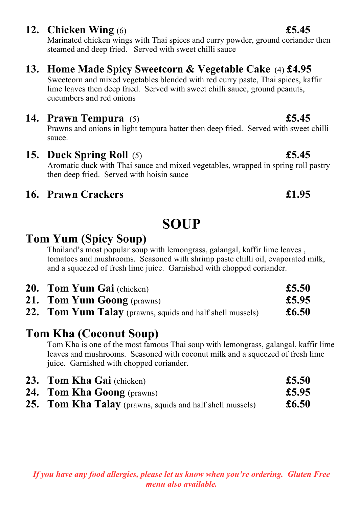## **12. Chicken Wing** (6) **£5.45**

Marinated chicken wings with Thai spices and curry powder, ground coriander then steamed and deep fried. Served with sweet chilli sauce

# **13. Home Made Spicy Sweetcorn & Vegetable Cake** (4) **£4.95**

Sweetcorn and mixed vegetables blended with red curry paste, Thai spices, kaffir lime leaves then deep fried. Served with sweet chilli sauce, ground peanuts, cucumbers and red onions

## **14. Prawn Tempura** (5) **£5.45**

Prawns and onions in light tempura batter then deep fried. Served with sweet chilli sauce.

**15. Duck Spring Roll** (5) **£5.45** Aromatic duck with Thai sauce and mixed vegetables, wrapped in spring roll pastry then deep fried. Served with hoisin sauce

## **16. Prawn Crackers £1.95**

# **SOUP**

# **Tom Yum (Spicy Soup)**

Thailand's most popular soup with lemongrass, galangal, kaffir lime leaves , tomatoes and mushrooms. Seasoned with shrimp paste chilli oil, evaporated milk, and a squeezed of fresh lime juice. Garnished with chopped coriander.

| <b>20. Tom Yum Gai</b> (chicken)                          | £5.50          |
|-----------------------------------------------------------|----------------|
| <b>21. Tom Yum Goong</b> (prawns)                         | £5.95          |
| 22. Tom Yum Talay (prawns, squids and half shell mussels) | $\pounds 6.50$ |

# **Tom Kha (Coconut Soup)**

Tom Kha is one of the most famous Thai soup with lemongrass, galangal, kaffir lime leaves and mushrooms. Seasoned with coconut milk and a squeezed of fresh lime juice. Garnished with chopped coriander.

| 23. Tom Kha Gai (chicken)                                        | £5.50          |
|------------------------------------------------------------------|----------------|
| <b>24. Tom Kha Goong</b> (prawns)                                | £5.95          |
| <b>25. Tom Kha Talay</b> (prawns, squids and half shell mussels) | $\pounds 6.50$ |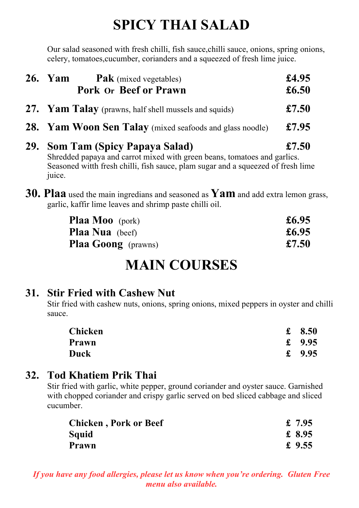# **SPICY THAI SALAD**

Our salad seasoned with fresh chilli, fish sauce,chilli sauce, onions, spring onions, celery, tomatoes,cucumber, corianders and a squeezed of fresh lime juice.

| <b>26.</b> Yam<br><b>Pak</b> (mixed vegetables)<br><b>Pork Or Beef or Prawn</b>                                                                                                                           | £4.95<br>£6.50 |
|-----------------------------------------------------------------------------------------------------------------------------------------------------------------------------------------------------------|----------------|
| 27. Yam Talay (prawns, half shell mussels and squids)                                                                                                                                                     | £7.50          |
| <b>28.</b> Yam Woon Sen Talay (mixed seafoods and glass noodle)                                                                                                                                           | £7.95          |
| 29. Som Tam (Spicy Papaya Salad)<br>Shredded papaya and carrot mixed with green beans, tomatoes and garlics.<br>Seasoned with fresh chilli, fish sauce, plam sugar and a squeezed of fresh lime<br>juice. | £7.50          |

**30. Plaa** used the main ingredians and seasoned as **Yam** and add extra lemon grass, garlic, kaffir lime leaves and shrimp paste chilli oil.

| <b>Plaa Moo</b> (pork)     | £6.95 |
|----------------------------|-------|
| <b>Plaa Nua</b> (beef)     | £6.95 |
| <b>Plaa Goong</b> (prawns) | £7.50 |

# **MAIN COURSES**

# **31. Stir Fried with Cashew Nut**

Stir fried with cashew nuts, onions, spring onions, mixed peppers in oyster and chilli sauce.

| <b>Chicken</b> | 8.50     |
|----------------|----------|
| Prawn          | £ $9.95$ |
| Duck           | £ $9.95$ |

# **32. Tod Khatiem Prik Thai**

Stir fried with garlic, white pepper, ground coriander and oyster sauce. Garnished with chopped coriander and crispy garlic served on bed sliced cabbage and sliced cucumber.

| <b>Chicken, Pork or Beef</b> | £ 7.95   |
|------------------------------|----------|
| Squid                        | £ 8.95   |
| Prawn                        | £ $9.55$ |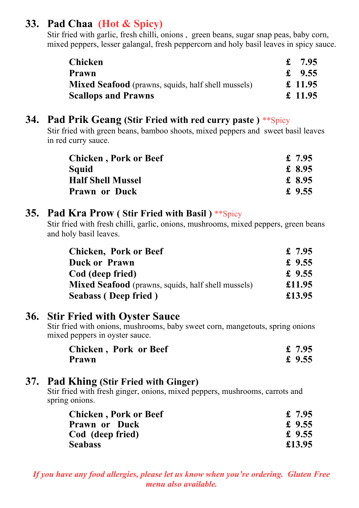# **33. Pad Chaa (Hot & Spicy)**

Stir fried with garlic, fresh chilli, onions , green beans, sugar snap peas, baby corn, mixed peppers, lesser galangal, fresh peppercorn and holy basil leaves in spicy sauce.

| <b>Chicken</b>                                            | £ $7.95$ |
|-----------------------------------------------------------|----------|
| Prawn                                                     | £ $9.55$ |
| <b>Mixed Seafood</b> (prawns, squids, half shell mussels) | £ 11.95  |
| <b>Scallops and Prawns</b>                                | £ 11.95  |

## **34. Pad Prik Geang (Stir Fried with red curry paste )** \*\*Spicy

Stir fried with green beans, bamboo shoots, mixed peppers and sweet basil leaves in red curry sauce.

| <b>Chicken, Pork or Beef</b> | £ $7.95$ |
|------------------------------|----------|
| Squid                        | £ 8.95   |
| <b>Half Shell Mussel</b>     | £ 8.95   |
| <b>Prawn or Duck</b>         | £ $9.55$ |

#### **35. Pad Kra Prow ( Stir Fried with Basil )** \*\*Spicy

Stir fried with fresh chilli, garlic, onions, mushrooms, mixed peppers, green beans and holy basil leaves.

| <b>Chicken, Pork or Beef</b>                              | £ $7.95$ |
|-----------------------------------------------------------|----------|
| <b>Duck or Prawn</b>                                      | £ $9.55$ |
| Cod (deep fried)                                          | £ $9.55$ |
| <b>Mixed Seafood</b> (prawns, squids, half shell mussels) | £11.95   |
| <b>Seabass (Deep fried)</b>                               | £13.95   |

### **36. Stir Fried with Oyster Sauce**

Stir fried with onions, mushrooms, baby sweet corn, mangetouts, spring onions mixed peppers in oyster sauce.

| <b>Chicken, Pork or Beef</b> | £ $7.95$ |
|------------------------------|----------|
| Prawn                        | £ $9.55$ |

### **37. Pad Khing (Stir Fried with Ginger)**

Stir fried with fresh ginger, onions, mixed peppers, mushrooms, carrots and spring onions.

| <b>Chicken, Pork or Beef</b> | £ $7.95$ |
|------------------------------|----------|
| <b>Prawn or Duck</b>         | £ $9.55$ |
| Cod (deep fried)             | £ $9.55$ |
| <b>Seabass</b>               | £13.95   |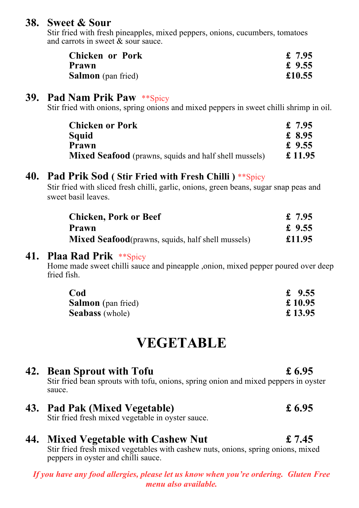### **38. Sweet & Sour**

Stir fried with fresh pineapples, mixed peppers, onions, cucumbers, tomatoes and carrots in sweet & sour sauce.

| <b>Chicken or Pork</b>    | £ $7.95$ |
|---------------------------|----------|
| Prawn                     | £ $9.55$ |
| <b>Salmon</b> (pan fried) | £10.55   |

#### **39. Pad Nam Prik Paw** \*\*Spicy

Stir fried with onions, spring onions and mixed peppers in sweet chilli shrimp in oil.

| <b>Chicken or Pork</b>                                       | £ 7.95   |
|--------------------------------------------------------------|----------|
| Squid                                                        | £ 8.95   |
| Prawn                                                        | £ $9.55$ |
| <b>Mixed Seafood</b> (prawns, squids and half shell mussels) | £ 11.95  |

### **40. Pad Prik Sod ( Stir Fried with Fresh Chilli )** \*\*Spicy

Stir fried with sliced fresh chilli, garlic, onions, green beans, sugar snap peas and sweet basil leaves.

| <b>Chicken, Pork or Beef</b>                              | £ $7.95$ |
|-----------------------------------------------------------|----------|
| Prawn                                                     | £ $9.55$ |
| <b>Mixed Seafood</b> (prawns, squids, half shell mussels) | £11.95   |

#### **41. Plaa Rad Prik** \*\*Spicy

Home made sweet chilli sauce and pineapple ,onion, mixed pepper poured over deep fried fish.

| Cod                       | £ $9.55$ |
|---------------------------|----------|
| <b>Salmon</b> (pan fried) | £ 10.95  |
| <b>Seabass</b> (whole)    | £13.95   |

# **VEGETABLE**

## **42. Bean Sprout with Tofu £ 6.95**

Stir fried bean sprouts with tofu, onions, spring onion and mixed peppers in oyster sauce.

**43. Pad Pak (Mixed Vegetable) £ 6.95** Stir fried fresh mixed vegetable in oyster sauce.

# **44. Mixed Vegetable with Cashew Nut £ 7.45**

Stir fried fresh mixed vegetables with cashew nuts, onions, spring onions, mixed peppers in oyster and chilli sauce.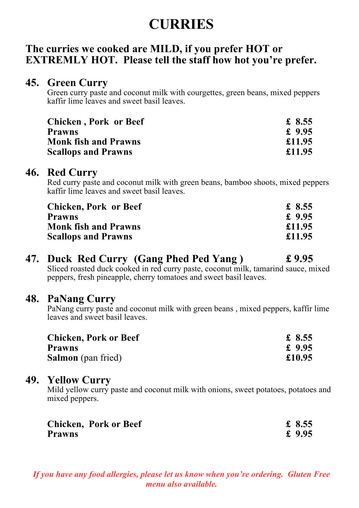# **CURRIES**

## **The curries we cooked are MILD, if you prefer HOT or EXTREMLY HOT. Please tell the staff how hot you're prefer.**

### **45. Green Curry**

Green curry paste and coconut milk with courgettes, green beans, mixed peppers kaffir lime leaves and sweet basil leaves.

| <b>Chicken, Pork or Beef</b> | £ 8.55   |
|------------------------------|----------|
| <b>Prawns</b>                | £ $9.95$ |
| <b>Monk fish and Prawns</b>  | £11.95   |
| <b>Scallops and Prawns</b>   | £11.95   |

#### **46. Red Curry**

Red curry paste and coconut milk with green beans, bamboo shoots, mixed peppers kaffir lime leaves and sweet basil leaves.

| <b>Chicken, Pork or Beef</b> | £ 8.55   |
|------------------------------|----------|
| <b>Prawns</b>                | £ $9.95$ |
| <b>Monk fish and Prawns</b>  | £11.95   |
| <b>Scallops and Prawns</b>   | £11.95   |

# **47. Duck Red Curry (Gang Phed Ped Yang ) £ 9.95**

Sliced roasted duck cooked in red curry paste, coconut milk, tamarind sauce, mixed peppers, fresh pineapple, cherry tomatoes and sweet basil leaves.

### **48. PaNang Curry**

PaNang curry paste and coconut milk with green beans , mixed peppers, kaffir lime leaves and sweet basil leaves.

| <b>Chicken, Pork or Beef</b> | £ 8.55   |
|------------------------------|----------|
| <b>Prawns</b>                | £ $9.95$ |
| <b>Salmon</b> (pan fried)    | £10.95   |

### **49. Yellow Curry**

Mild yellow curry paste and coconut milk with onions, sweet potatoes, potatoes and mixed peppers.

|               | <b>Chicken, Pork or Beef</b> | £ 8.55   |
|---------------|------------------------------|----------|
| <b>Prawns</b> |                              | £ $9.95$ |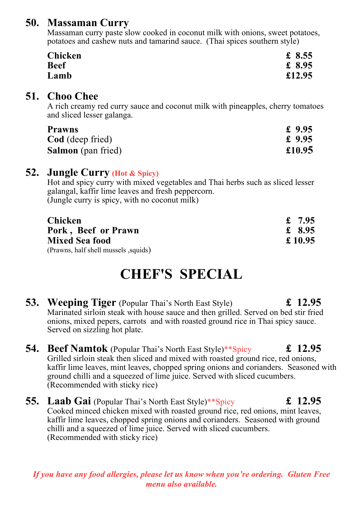## **50. Massaman Curry**

Massaman curry paste slow cooked in coconut milk with onions, sweet potatoes, potatoes and cashew nuts and tamarind sauce. (Thai spices southern style)

| <b>Chicken</b> | £ 8.55 |
|----------------|--------|
| <b>Beef</b>    | £ 8.95 |
| Lamb           | £12.95 |

#### **51. Choo Chee**

A rich creamy red curry sauce and coconut milk with pineapples, cherry tomatoes and sliced lesser galanga.

| <b>Prawns</b> | £ 9.95 |  |  |
|---------------|--------|--|--|
|               |        |  |  |

| <b>Cod</b> (deep fried)   | £ $9.95$ |  |
|---------------------------|----------|--|
| <b>Salmon</b> (pan fried) | £10.95   |  |

### **52. Jungle Curry (Hot & Spicy)**

Hot and spicy curry with mixed vegetables and Thai herbs such as sliced lesser galangal, kaffir lime leaves and fresh peppercorn. (Jungle curry is spicy, with no coconut milk)

| <b>Chicken</b>                       | £ 7.95  |
|--------------------------------------|---------|
| Pork, Beef or Prawn                  | £ 8.95  |
| <b>Mixed Sea food</b>                | £ 10.95 |
| (Prawns, half shell mussels, squids) |         |

# **CHEF'S SPECIAL**

- **53. Weeping Tiger** (Popular Thai's North East Style) **£** 12.95 Marinated sirloin steak with house sauce and then grilled. Served on bed stir fried onions, mixed pepers, carrots and with roasted ground rice in Thai spicy sauce. Served on sizzling hot plate.
- **54. Beef Namtok** (Popular Thai's North East Style)\*\*Spicy **£ 12.95** Grilled sirloin steak then sliced and mixed with roasted ground rice, red onions, kaffir lime leaves, mint leaves, chopped spring onions and corianders. Seasoned with ground chilli and a squeezed of lime juice. Served with sliced cucumbers. (Recommended with sticky rice)
- **55. Laab Gai** (Popular Thai's North East Style)\*\*Spicy **£ 12.95** Cooked minced chicken mixed with roasted ground rice, red onions, mint leaves, kaffir lime leaves, chopped spring onions and corianders. Seasoned with ground chilli and a squeezed of lime juice. Served with sliced cucumbers. (Recommended with sticky rice)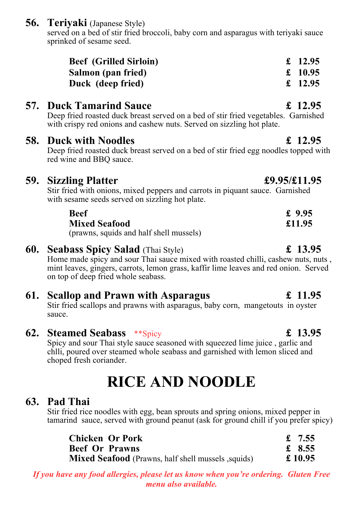**56. Teriyaki** (Japanese Style)

served on a bed of stir fried broccoli, baby corn and asparagus with teriyaki sauce sprinked of sesame seed.

| <b>Beef</b> (Grilled Sirloin) | £ 12.95 |
|-------------------------------|---------|
| Salmon (pan fried)            | £ 10.95 |
| Duck (deep fried)             | £ 12.95 |

# **57. Duck Tamarind Sauce £ 12.95**

Deep fried roasted duck breast served on a bed of stir fried vegetables. Garnished with crispy red onions and cashew nuts. Served on sizzling hot plate.

### **58. Duck with Noodles £ 12.95**

Deep fried roasted duck breast served on a bed of stir fried egg noodles topped with red wine and BBQ sauce.

## **59. Sizzling Platter £9.95/£11.95**

Stir fried with onions, mixed peppers and carrots in piquant sauce. Garnished with sesame seeds served on sizzling hot plate.

| <b>Beef</b>                                                      | £ $9.95$ |
|------------------------------------------------------------------|----------|
| <b>Mixed Seafood</b>                                             | £11.95   |
| $(n_{\text{rewise}}^{\text{equ}})$ caugh and holf shall mussels) |          |

(prawns, squids and half shell mussels)

### **60. Seabass Spicy Salad** (Thai Style) **£ 13.95**

Home made spicy and sour Thai sauce mixed with roasted chilli, cashew nuts, nuts , mint leaves, gingers, carrots, lemon grass, kaffir lime leaves and red onion. Served on top of deep fried whole seabass.

## **61. Scallop and Prawn with Asparagus £ 11.95**

Stir fried scallops and prawns with asparagus, baby corn, mangetouts in oyster sauce.

**62. Steamed Seabass** \*\*Spicy **£ 13.95**

Spicy and sour Thai style sauce seasoned with squeezed lime juice , garlic and chlli, poured over steamed whole seabass and garnished with lemon sliced and choped fresh coriander.

# **RICE AND NOODLE**

## **63. Pad Thai**

Stir fried rice noodles with egg, bean sprouts and spring onions, mixed pepper in tamarind sauce, served with ground peanut (ask for ground chill if you prefer spicy)

| <b>Chicken Or Pork</b>                                    | £ 7.55  |
|-----------------------------------------------------------|---------|
| <b>Beef Or Prawns</b>                                     | £ 8.55  |
| <b>Mixed Seafood</b> (Prawns, half shell mussels, squids) | £ 10.95 |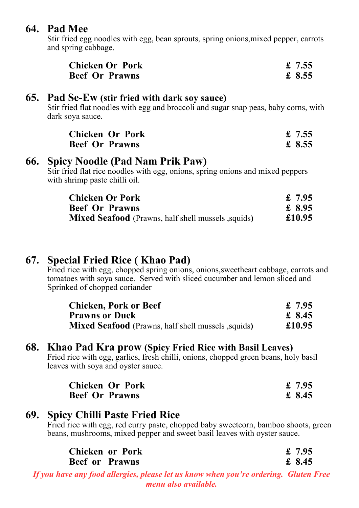### **64. Pad Mee**

Stir fried egg noodles with egg, bean sprouts, spring onions,mixed pepper, carrots and spring cabbage.

| <b>Chicken Or Pork</b> | £ $7.55$ |
|------------------------|----------|
| <b>Beef Or Prawns</b>  | £ 8.55   |

#### **65. Pad Se-Ew (stir fried with dark soy sauce)**

Stir fried flat noodles with egg and broccoli and sugar snap peas, baby corns, with dark soya sauce.

| <b>Chicken Or Pork</b> | £ $7.55$ |
|------------------------|----------|
| <b>Beef Or Prawns</b>  | £ 8.55   |

#### **66. Spicy Noodle (Pad Nam Prik Paw)**

Stir fried flat rice noodles with egg, onions, spring onions and mixed peppers with shrimp paste chilli oil.

| <b>Chicken Or Pork</b>                                     | £ 7.95 |
|------------------------------------------------------------|--------|
| <b>Beef Or Prawns</b>                                      | £ 8.95 |
| <b>Mixed Seafood</b> (Prawns, half shell mussels , squids) | £10.95 |

### **67. Special Fried Rice ( Khao Pad)**

Fried rice with egg, chopped spring onions, onions, sweetheart cabbage, carrots and tomatoes with soya sauce. Served with sliced cucumber and lemon sliced and Sprinked of chopped coriander

| <b>Chicken, Pork or Beef</b>                               | £ 7.95 |
|------------------------------------------------------------|--------|
| <b>Prawns or Duck</b>                                      | £ 8.45 |
| <b>Mixed Seafood</b> (Prawns, half shell mussels , squids) | £10.95 |

#### **68. Khao Pad Kra prow (Spicy Fried Rice with Basil Leaves)**

Fried rice with egg, garlics, fresh chilli, onions, chopped green beans, holy basil leaves with soya and oyster sauce.

| <b>Chicken Or Pork</b> | £ $7.95$ |
|------------------------|----------|
| <b>Beef Or Prawns</b>  | £ 8.45   |

### **69. Spicy Chilli Paste Fried Rice**

Fried rice with egg, red curry paste, chopped baby sweetcorn, bamboo shoots, green beans, mushrooms, mixed pepper and sweet basil leaves with oyster sauce.

| <b>Chicken or Pork</b> | £ $7.95$ |
|------------------------|----------|
| <b>Beef or Prawns</b>  | £ 8.45   |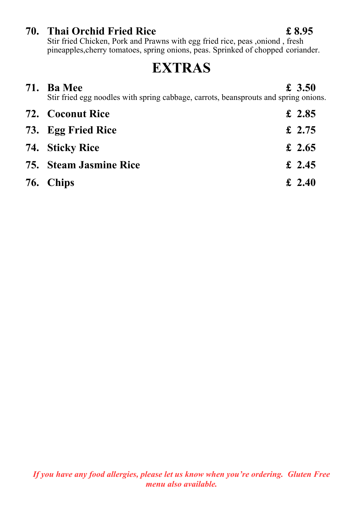### **70. Thai Orchid Fried Rice £ 8.95**

Stir fried Chicken, Pork and Prawns with egg fried rice, peas ,oniond , fresh pineapples,cherry tomatoes, spring onions, peas. Sprinked of chopped coriander.

# **EXTRAS**

| 71. | <b>Ba</b> Mee<br>Stir fried egg noodles with spring cabbage, carrots, beansprouts and spring onions. | £ $3.50$ |
|-----|------------------------------------------------------------------------------------------------------|----------|
|     | <b>72. Coconut Rice</b>                                                                              | £ 2.85   |
|     | 73. Egg Fried Rice                                                                                   | £ 2.75   |
|     | 74. Sticky Rice                                                                                      | £ 2.65   |
|     | <b>75. Steam Jasmine Rice</b>                                                                        | £ 2.45   |
|     | 76. Chips                                                                                            | £ 2.40   |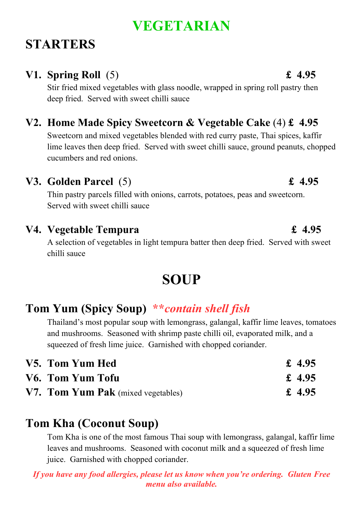# **VEGETARIAN**

# **STARTERS**

# **V1. Spring Roll** (5) **£ 4.95**

Stir fried mixed vegetables with glass noodle, wrapped in spring roll pastry then deep fried. Served with sweet chilli sauce

# **V2. Home Made Spicy Sweetcorn & Vegetable Cake** (4) **£ 4.95**

Sweetcorn and mixed vegetables blended with red curry paste, Thai spices, kaffir lime leaves then deep fried. Served with sweet chilli sauce, ground peanuts, chopped cucumbers and red onions.

# **V3. Golden Parcel** (5) **£ 4.95**

Thin pastry parcels filled with onions, carrots, potatoes, peas and sweetcorn. Served with sweet chilli sauce

# **V4. Vegetable Tempura £ 4.95**

A selection of vegetables in light tempura batter then deep fried. Served with sweet chilli sauce

# **SOUP**

# **Tom Yum (Spicy Soup) \*\****contain shell fish*

Thailand's most popular soup with lemongrass, galangal, kaffir lime leaves, tomatoes and mushrooms. Seasoned with shrimp paste chilli oil, evaporated milk, and a squeezed of fresh lime juice. Garnished with chopped coriander.

| V5. Tom Yum Hed                           | £ 4.95 |
|-------------------------------------------|--------|
| V6. Tom Yum Tofu                          | £ 4.95 |
| <b>V7. Tom Yum Pak</b> (mixed vegetables) | £ 4.95 |

# **Tom Kha (Coconut Soup)**

Tom Kha is one of the most famous Thai soup with lemongrass, galangal, kaffir lime leaves and mushrooms. Seasoned with coconut milk and a squeezed of fresh lime juice. Garnished with chopped coriander.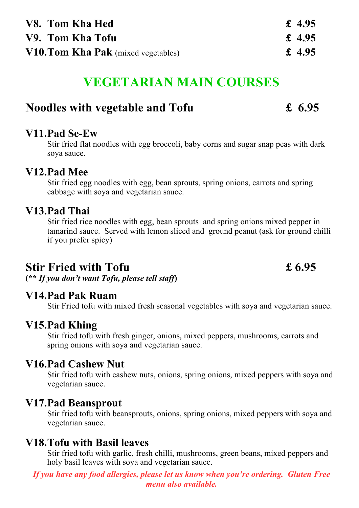| V8. Tom Kha Hed                            | £ 4.95 |
|--------------------------------------------|--------|
| V9. Tom Kha Tofu                           | £ 4.95 |
| <b>V10. Tom Kha Pak</b> (mixed vegetables) | £ 4.95 |

# **VEGETARIAN MAIN COURSES**

## **Noodles with vegetable and Tofu £ 6.95**

### **V11.Pad Se-Ew**

Stir fried flat noodles with egg broccoli, baby corns and sugar snap peas with dark soya sauce.

### **V12.Pad Mee**

Stir fried egg noodles with egg, bean sprouts, spring onions, carrots and spring cabbage with soya and vegetarian sauce.

### **V13.Pad Thai**

Stir fried rice noodles with egg, bean sprouts and spring onions mixed pepper in tamarind sauce. Served with lemon sliced and ground peanut (ask for ground chilli if you prefer spicy)

# **Stir Fried with Tofu £ 6.95**

**(\*\*** *If you don't want Tofu, please tell staff***)**

### **V14.Pad Pak Ruam**

Stir Fried tofu with mixed fresh seasonal vegetables with soya and vegetarian sauce.

### **V15.Pad Khing**

Stir fried tofu with fresh ginger, onions, mixed peppers, mushrooms, carrots and spring onions with soya and vegetarian sauce.

### **V16.Pad Cashew Nut**

Stir fried tofu with cashew nuts, onions, spring onions, mixed peppers with soya and vegetarian sauce.

#### **V17.Pad Beansprout**

Stir fried tofu with beansprouts, onions, spring onions, mixed peppers with soya and vegetarian sauce.

### **V18.Tofu with Basil leaves**

Stir fried tofu with garlic, fresh chilli, mushrooms, green beans, mixed peppers and holy basil leaves with soya and vegetarian sauce.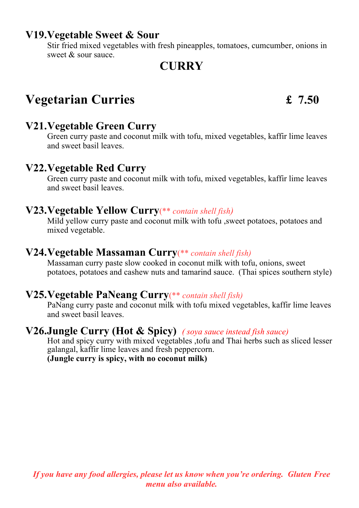### **V19.Vegetable Sweet & Sour**

Stir fried mixed vegetables with fresh pineapples, tomatoes, cumcumber, onions in sweet & sour sauce.

# **CURRY**

# **Vegetarian Curries £ 7.50**

## **V21.Vegetable Green Curry**

Green curry paste and coconut milk with tofu, mixed vegetables, kaffir lime leaves and sweet basil leaves.

### **V22.Vegetable Red Curry**

Green curry paste and coconut milk with tofu, mixed vegetables, kaffir lime leaves and sweet basil leaves.

#### **V23.Vegetable Yellow Curry**(\*\* *contain shell fish)*

Mild yellow curry paste and coconut milk with tofu ,sweet potatoes, potatoes and mixed vegetable.

### **V24.Vegetable Massaman Curry**(\*\* *contain shell fish)*

Massaman curry paste slow cooked in coconut milk with tofu, onions, sweet potatoes, potatoes and cashew nuts and tamarind sauce. (Thai spices southern style)

### **V25.Vegetable PaNeang Curry**(\*\* *contain shell fish)*

PaNang curry paste and coconut milk with tofu mixed vegetables, kaffir lime leaves and sweet basil leaves.

#### **V26.Jungle Curry (Hot & Spicy)** *( soya sauce instead fish sauce)*

Hot and spicy curry with mixed vegetables ,tofu and Thai herbs such as sliced lesser galangal, kaffir lime leaves and fresh peppercorn.

**(Jungle curry is spicy, with no coconut milk)**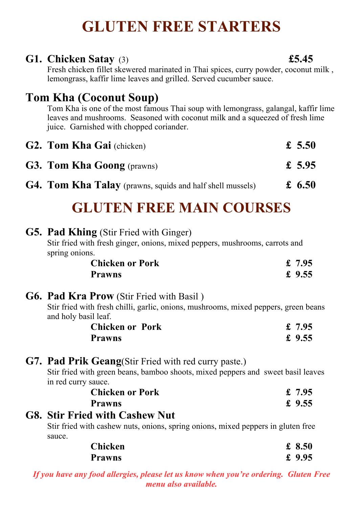# **GLUTEN FREE STARTERS**

## **G1. Chicken Satay** (3) **£5.45**

Fresh chicken fillet skewered marinated in Thai spices, curry powder, coconut milk , lemongrass, kaffir lime leaves and grilled. Served cucumber sauce.

# **Tom Kha (Coconut Soup)**

Tom Kha is one of the most famous Thai soup with lemongrass, galangal, kaffir lime leaves and mushrooms. Seasoned with coconut milk and a squeezed of fresh lime juice. Garnished with chopped coriander.

| <b>G2. Tom Kha Gai</b> (chicken)                                 | £ 5.50 |
|------------------------------------------------------------------|--------|
| <b>G3. Tom Kha Goong</b> (prawns)                                | £ 5.95 |
| <b>G4. Tom Kha Talay</b> (prawns, squids and half shell mussels) | £ 6.50 |

# **GLUTEN FREE MAIN COURSES**

|  | <b>G5. Pad Khing</b> (Stir Fried with Ginger)                                                               |          |
|--|-------------------------------------------------------------------------------------------------------------|----------|
|  | Stir fried with fresh ginger, onions, mixed peppers, mushrooms, carrots and                                 |          |
|  | spring onions.                                                                                              |          |
|  | <b>Chicken or Pork</b>                                                                                      | £7.95    |
|  | <b>Prawns</b>                                                                                               | £ $9.55$ |
|  | <b>G6. Pad Kra Prow</b> (Stir Fried with Basil)                                                             |          |
|  | Stir fried with fresh chilli, garlic, onions, mushrooms, mixed peppers, green beans<br>and holy basil leaf. |          |
|  | <b>Chicken or Pork</b>                                                                                      | £ $7.95$ |
|  | <b>Prawns</b>                                                                                               | £ $9.55$ |
|  | <b>G7. Pad Prik Geang</b> (Stir Fried with red curry paste.)                                                |          |
|  | Stir fried with green beans, bamboo shoots, mixed peppers and sweet basil leaves<br>in red curry sauce.     |          |
|  | <b>Chicken or Pork</b>                                                                                      | £7.95    |
|  | <b>Prawns</b>                                                                                               | £ $9.55$ |
|  | <b>G8. Stir Fried with Cashew Nut</b>                                                                       |          |
|  | Stir fried with cashew nuts, onions, spring onions, mixed peppers in gluten free<br>sauce.                  |          |
|  | <b>Chicken</b>                                                                                              | £ $8.50$ |
|  | <b>Prawns</b>                                                                                               | £ $9.95$ |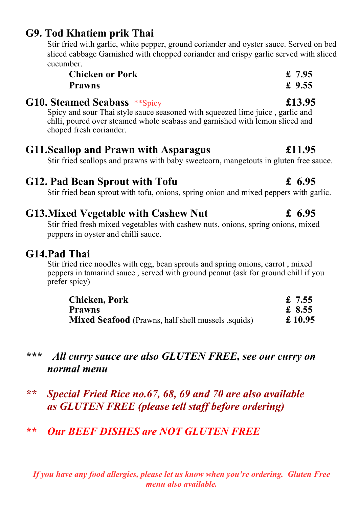# **G9. Tod Khatiem prik Thai**

Stir fried with garlic, white pepper, ground coriander and oyster sauce. Served on bed sliced cabbage Garnished with chopped coriander and crispy garlic served with sliced cucumber.

| <b>Chicken or Pork</b> | £ $7.95$ |
|------------------------|----------|
| <b>Prawns</b>          | £ $9.55$ |

### **G10. Steamed Seabass** \*\*Spicy **£13.95**

Spicy and sour Thai style sauce seasoned with squeezed lime juice , garlic and chlli, poured over steamed whole seabass and garnished with lemon sliced and choped fresh coriander.

### **G11.Scallop and Prawn with Asparagus £11.95**

Stir fried scallops and prawns with baby sweetcorn, mangetouts in gluten free sauce.

# **G12. Pad Bean Sprout with Tofu £ 6.95**

Stir fried bean sprout with tofu, onions, spring onion and mixed peppers with garlic.

# **G13.Mixed Vegetable with Cashew Nut £ 6.95**

Stir fried fresh mixed vegetables with cashew nuts, onions, spring onions, mixed peppers in oyster and chilli sauce.

### **G14.Pad Thai**

Stir fried rice noodles with egg, bean sprouts and spring onions, carrot , mixed peppers in tamarind sauce , served with ground peanut (ask for ground chill if you prefer spicy)

| <b>Chicken, Pork</b>                                       | £ 7.55  |
|------------------------------------------------------------|---------|
| <b>Prawns</b>                                              | £ 8.55  |
| <b>Mixed Seafood</b> (Prawns, half shell mussels , squids) | £ 10.95 |

# *\*\*\* All curry sauce are also GLUTEN FREE, see our curry on normal menu*

*\*\* Special Fried Rice no.67, 68, 69 and 70 are also available as GLUTEN FREE (please tell staff before ordering)*

# *\*\* Our BEEF DISHES are NOT GLUTEN FREE*